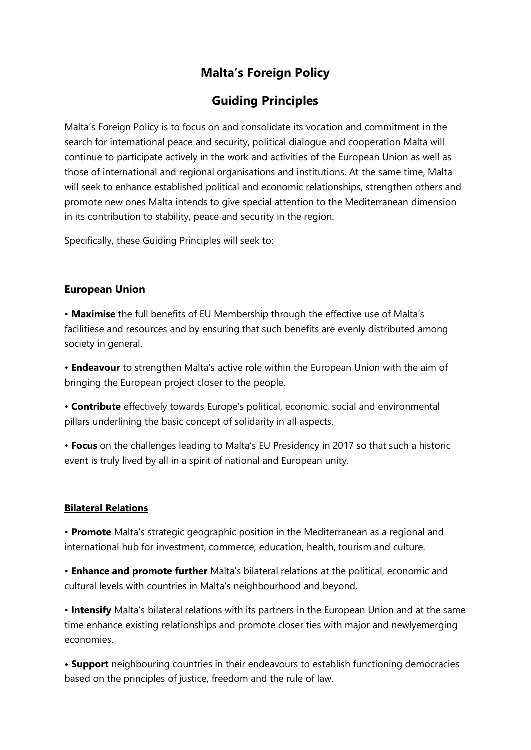# **Malta's Foreign Policy**

## **Guiding Principles**

Malta's Foreign Policy is to focus on and consolidate its vocation and commitment in the search for international peace and security, political dialogue and cooperation Malta will continue to participate actively in the work and activities of the European Union as well as those of international and regional organisations and institutions. At the same time, Malta will seek to enhance established political and economic relationships, strengthen others and promote new ones Malta intends to give special attention to the Mediterranean dimension in its contribution to stability, peace and security in the region.

Specifically, these Guiding Principles will seek to:

## **European Union**

• **Maximise** the full benefits of EU Membership through the effective use of Malta's facilitiese and resources and by ensuring that such benefits are evenly distributed among society in general.

• **Endeavour** to strengthen Malta's active role within the European Union with the aim of bringing the European project closer to the people.

• **Contribute** effectively towards Europe's political, economic, social and environmental pillars underlining the basic concept of solidarity in all aspects.

• **Focus** on the challenges leading to Malta's EU Presidency in 2017 so that such a historic event is truly lived by all in a spirit of national and European unity.

## **Bilateral Relations**

• **Promote** Malta's strategic geographic position in the Mediterranean as a regional and international hub for investment, commerce, education, health, tourism and culture.

• **Enhance and promote further** Malta's bilateral relations at the political, economic and cultural levels with countries in Malta's neighbourhood and beyond.

• **Intensify** Malta's bilateral relations with its partners in the European Union and at the same time enhance existing relationships and promote closer ties with major and newlyemerging economies.

**• Support** neighbouring countries in their endeavours to establish functioning democracies based on the principles of justice, freedom and the rule of law.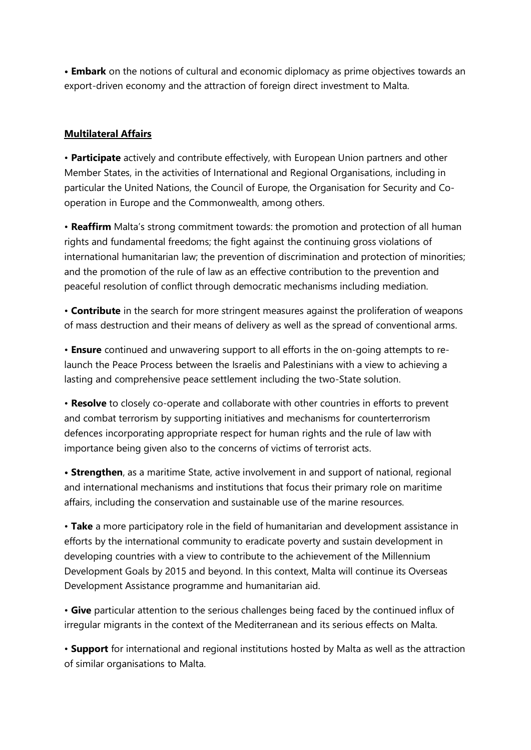**• Embark** on the notions of cultural and economic diplomacy as prime objectives towards an export-driven economy and the attraction of foreign direct investment to Malta.

### **Multilateral Affairs**

• **Participate** actively and contribute effectively, with European Union partners and other Member States, in the activities of International and Regional Organisations, including in particular the United Nations, the Council of Europe, the Organisation for Security and Cooperation in Europe and the Commonwealth, among others.

• **Reaffirm** Malta's strong commitment towards: the promotion and protection of all human rights and fundamental freedoms; the fight against the continuing gross violations of international humanitarian law; the prevention of discrimination and protection of minorities; and the promotion of the rule of law as an effective contribution to the prevention and peaceful resolution of conflict through democratic mechanisms including mediation.

• **Contribute** in the search for more stringent measures against the proliferation of weapons of mass destruction and their means of delivery as well as the spread of conventional arms.

• **Ensure** continued and unwavering support to all efforts in the on-going attempts to relaunch the Peace Process between the Israelis and Palestinians with a view to achieving a lasting and comprehensive peace settlement including the two-State solution.

• **Resolve** to closely co-operate and collaborate with other countries in efforts to prevent and combat terrorism by supporting initiatives and mechanisms for counterterrorism defences incorporating appropriate respect for human rights and the rule of law with importance being given also to the concerns of victims of terrorist acts.

**• Strengthen**, as a maritime State, active involvement in and support of national, regional and international mechanisms and institutions that focus their primary role on maritime affairs, including the conservation and sustainable use of the marine resources.

• **Take** a more participatory role in the field of humanitarian and development assistance in efforts by the international community to eradicate poverty and sustain development in developing countries with a view to contribute to the achievement of the Millennium Development Goals by 2015 and beyond. In this context, Malta will continue its Overseas Development Assistance programme and humanitarian aid.

• **Give** particular attention to the serious challenges being faced by the continued influx of irregular migrants in the context of the Mediterranean and its serious effects on Malta.

• **Support** for international and regional institutions hosted by Malta as well as the attraction of similar organisations to Malta.